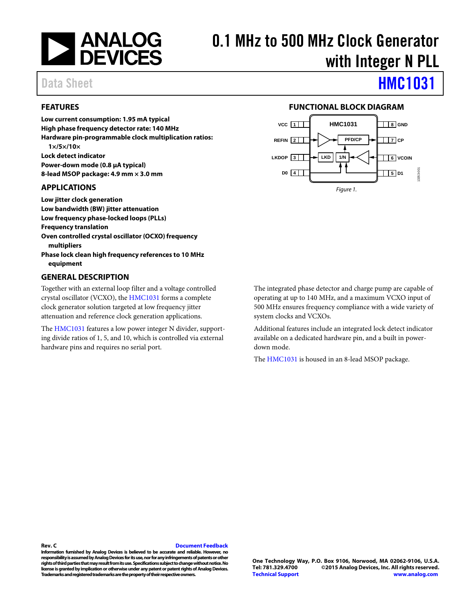

# 0.1 MHz to 500 MHz Clock Generator with Integer N PLL

## Data Sheet **[HMC1031](http://www.analog.com/hmc1031?doc=hmc1031.pdf)**

## <span id="page-0-0"></span>**FEATURES**

**Low current consumption: 1.95 mA typical High phase frequency detector rate: 140 MHz Hardware pin-programmable clock multiplication ratios: 1×/5×/10× Lock detect indicator Power-down mode (0.8 μA typical) 8-lead MSOP package: 4.9 mm × 3.0 mm**

#### <span id="page-0-1"></span>**APPLICATIONS**

**Low jitter clock generation Low bandwidth (BW) jitter attenuation Low frequency phase-locked loops (PLLs) Frequency translation Oven controlled crystal oscillator (OCXO) frequency multipliers Phase lock clean high frequency references to 10 MHz equipment**

## <span id="page-0-3"></span>**GENERAL DESCRIPTION**

Together with an external loop filter and a voltage controlled crystal oscillator (VCXO), the [HMC1031](http://www.analog.com/hmc1031?doc=hmc1031.pdf) forms a complete clock generator solution targeted at low frequency jitter attenuation and reference clock generation applications.

The [HMC1031](http://www.analog.com/hmc1031?doc=hmc1031.pdf) features a low power integer N divider, supporting divide ratios of 1, 5, and 10, which is controlled via external hardware pins and requires no serial port.



<span id="page-0-2"></span>

The integrated phase detector and charge pump are capable of operating at up to 140 MHz, and a maximum VCXO input of 500 MHz ensures frequency compliance with a wide variety of system clocks and VCXOs.

Additional features include an integrated lock detect indicator available on a dedicated hardware pin, and a built in powerdown mode.

The [HMC1031](http://www.analog.com/hmc1031?doc=hmc1031.pdf) is housed in an 8-lead MSOP package.

#### **Rev. C [Document Feedback](https://form.analog.com/Form_Pages/feedback/documentfeedback.aspx?doc=HMC1031.pdf&product=HMC1031&rev=C)**

**Information furnished by Analog Devices is believed to be accurate and reliable. However, no responsibility is assumed by Analog Devices for its use, nor for any infringements of patents or other rights of third parties that may result from its use. Specifications subject to change without notice. No license is granted by implication or otherwiseunder any patent or patent rights of Analog Devices. Trademarks and registered trademarks are the property of their respective owners.**

**One Technology Way, P.O. Box 9106, Norwood, MA 02062-9106, U.S.A. Tel: 781.329.4700 ©2015 Analog Devices, Inc. All rights reserved. [Technical Support](http://www.analog.com/en/content/technical_support_page/fca.html) [www.analog.com](http://www.analog.com/)**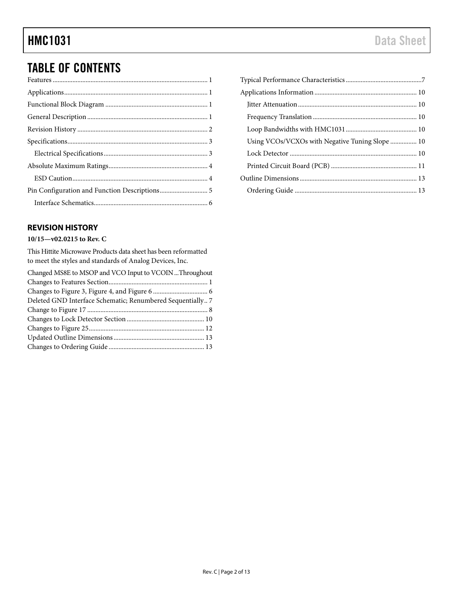## TABLE OF CONTENTS

## <span id="page-1-0"></span>**REVISION HISTORY**

## **10/15—v02.0215 to Rev. C**

This Hittite Microwave Products data sheet has been reformatted to meet the styles and standards of Analog Devices, Inc.

| Changed MS8E to MSOP and VCO Input to VCOIN  Throughout    |  |
|------------------------------------------------------------|--|
|                                                            |  |
|                                                            |  |
| Deleted GND Interface Schematic; Renumbered Sequentially 7 |  |
|                                                            |  |
|                                                            |  |
|                                                            |  |
|                                                            |  |
|                                                            |  |

| Using VCOs/VCXOs with Negative Tuning Slope  10 |
|-------------------------------------------------|
|                                                 |
|                                                 |
|                                                 |
|                                                 |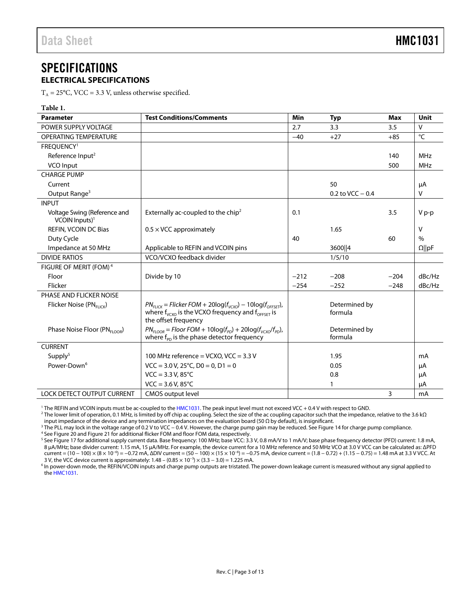## <span id="page-2-0"></span>SPECIFICATIONS **ELECTRICAL SPECIFICATIONS**

<span id="page-2-1"></span> $T_A = 25^{\circ}$ C, VCC = 3.3 V, unless otherwise specified.

| Table 1.                                                     |                                                                                                                                                                  |        |                          |        |                |
|--------------------------------------------------------------|------------------------------------------------------------------------------------------------------------------------------------------------------------------|--------|--------------------------|--------|----------------|
| <b>Parameter</b>                                             | <b>Test Conditions/Comments</b>                                                                                                                                  | Min    | <b>Typ</b>               | Max    | Unit           |
| POWER SUPPLY VOLTAGE                                         |                                                                                                                                                                  | 2.7    | 3.3                      | 3.5    | $\vee$         |
| <b>OPERATING TEMPERATURE</b>                                 |                                                                                                                                                                  | $-40$  | $+27$                    | $+85$  | $\overline{C}$ |
| FREQUENCY <sup>1</sup>                                       |                                                                                                                                                                  |        |                          |        |                |
| Reference Input <sup>2</sup>                                 |                                                                                                                                                                  |        |                          | 140    | MHz            |
| VCO Input                                                    |                                                                                                                                                                  |        |                          | 500    | <b>MHz</b>     |
| <b>CHARGE PUMP</b>                                           |                                                                                                                                                                  |        |                          |        |                |
| Current                                                      |                                                                                                                                                                  |        | 50                       |        | μA             |
| Output Range <sup>3</sup>                                    |                                                                                                                                                                  |        | 0.2 to VCC $-0.4$        |        | $\vee$         |
| <b>INPUT</b>                                                 |                                                                                                                                                                  |        |                          |        |                |
| Voltage Swing (Reference and<br>$VCOIN$ Inputs) <sup>1</sup> | Externally ac-coupled to the chip <sup>2</sup>                                                                                                                   | 0.1    |                          | 3.5    | $V p-p$        |
| REFIN, VCOIN DC Bias                                         | $0.5 \times$ VCC approximately                                                                                                                                   |        | 1.65                     |        | V              |
| Duty Cycle                                                   |                                                                                                                                                                  | 40     |                          | 60     | $\%$           |
| Impedance at 50 MHz                                          | Applicable to REFIN and VCOIN pins                                                                                                                               |        | 3600   4                 |        | $\Omega$   pF  |
| <b>DIVIDE RATIOS</b>                                         | VCO/VCXO feedback divider                                                                                                                                        |        | 1/5/10                   |        |                |
| FIGURE OF MERIT (FOM) <sup>4</sup>                           |                                                                                                                                                                  |        |                          |        |                |
| Floor                                                        | Divide by 10                                                                                                                                                     | $-212$ | $-208$                   | $-204$ | dBc/Hz         |
| Flicker                                                      |                                                                                                                                                                  | $-254$ | $-252$                   | $-248$ | dBc/Hz         |
| PHASE AND FLICKER NOISE                                      |                                                                                                                                                                  |        |                          |        |                |
| Flicker Noise (PNFLICK)                                      | $PN_{FILCK}$ = Flicker FOM + 20log( $f_{VCKO}$ ) – 10log( $f_{OFFSET}$ ),<br>where $f_{V(XO)}$ is the VCXO frequency and $f_{OFFSET}$ is<br>the offset frequency |        | Determined by<br>formula |        |                |
| Phase Noise Floor (PN <sub>FLOOR</sub> )                     | $PN_{FIOOR}$ = Floor FOM + 10log( $f_{PD}$ ) + 20log( $f_{VCKO}/f_{PD}$ ),<br>where $f_{\text{PD}}$ is the phase detector frequency                              |        | Determined by<br>formula |        |                |
| <b>CURRENT</b>                                               |                                                                                                                                                                  |        |                          |        |                |
| Supply <sup>5</sup>                                          | 100 MHz reference = VCXO, VCC = $3.3$ V                                                                                                                          |        | 1.95                     |        | mA             |
| Power-Down <sup>6</sup>                                      | $VCC = 3.0 V$ , $25^{\circ}C$ , $D0 = 0$ , $D1 = 0$                                                                                                              |        | 0.05                     |        | μA             |
|                                                              | $VCC = 3.3 V, 85^{\circ}C$                                                                                                                                       |        | 0.8                      |        | μA             |
|                                                              | $VCC = 3.6 V, 85^{\circ}C$                                                                                                                                       |        | 1                        |        | μA             |
| <b>LOCK DETECT OUTPUT CURRENT</b>                            | <b>CMOS output level</b>                                                                                                                                         |        |                          | 3      | mA             |

<sup>1</sup> The REFIN and VCOIN inputs must be ac-coupled to th[e HMC1031.](http://www.analog.com/hmc1031?doc=hmc1031.pdf) The peak input level must not exceed VCC + 0.4 V with respect to GND.

<sup>2</sup> The lower limit of operation, 0.1 MHz, is limited by off chip ac coupling. Select the size of the ac coupling capacitor such that the impedance, relative to the 3.6 kΩ input impedance of the device and any termination impedances on the evaluation board (50  $\Omega$  by default), is insignificant.

<sup>3</sup> The PLL may lock in the voltage range of 0.2 V to VCC − 0.4 V. However, the charge pump gain may be reduced. Se[e Figure 14](#page-7-0) for charge pump compliance.

<sup>4</sup> Se[e Figure 20](#page-8-0) an[d Figure 21](#page-8-1) for additional flicker FOM and floor FOM data, respectively.

<sup>5</sup> Se[e Figure 17](#page-7-1) for additional supply current data. Base frequency: 100 MHz; base VCC: 3.3 V, 0.8 mA/V to 1 mA/V; base phase frequency detector (PFD) current: 1.8 mA, 8 μA/MHz; base divider current: 1.15 mA, 15 μA/MHz. For example, the device current for a 10 MHz reference and 50 MHz VCO at 3.0 V VCC can be calculated as: ΔPFD current = (10 − 100) × (8 × 10−6) = −0.72 mA, ΔDIV current = (50 − 100) × (15 × 10−6) = −0.75 mA, device current = (1.8 − 0.72) + (1.15 − 0.75) = 1.48 mA at 3.3 V VCC. At 3 V, the VCC device current is approximately: 1.48 – (0.85 × 10<sup>-3</sup>) × (3.3 – 3.0) = 1.225 mA.

<sup>6</sup> In power-down mode, the REFIN/VCOIN inputs and charge pump outputs are tristated. The power-down leakage current is measured without any signal applied to th[e HMC1031.](http://www.analog.com/hmc1031?doc=hmc1031.pdf)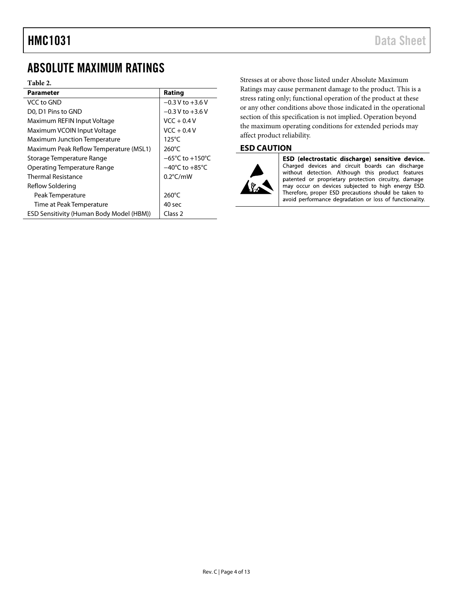## <span id="page-3-0"></span>ABSOLUTE MAXIMUM RATINGS

#### **Table 2.**

| <b>Parameter</b>                                | Rating                              |
|-------------------------------------------------|-------------------------------------|
| VCC to GND                                      | $-0.3 V$ to $+3.6 V$                |
| D0, D1 Pins to GND                              | $-0.3$ V to $+3.6$ V                |
| Maximum REFIN Input Voltage                     | $VCC + 0.4 V$                       |
| Maximum VCOIN Input Voltage                     | $VCC + 0.4V$                        |
| <b>Maximum Junction Temperature</b>             | 125°C                               |
| Maximum Peak Reflow Temperature (MSL1)          | $260^{\circ}$ C                     |
| Storage Temperature Range                       | $-65^{\circ}$ C to $+150^{\circ}$ C |
| Operating Temperature Range                     | $-40^{\circ}$ C to $+85^{\circ}$ C  |
| <b>Thermal Resistance</b>                       | $0.2^{\circ}$ C/mW                  |
| Reflow Soldering                                |                                     |
| Peak Temperature                                | $260^{\circ}$ C                     |
| Time at Peak Temperature                        | 40 sec                              |
| <b>ESD Sensitivity (Human Body Model (HBM))</b> | Class <sub>2</sub>                  |

Stresses at or above those listed under Absolute Maximum Ratings may cause permanent damage to the product. This is a stress rating only; functional operation of the product at these or any other conditions above those indicated in the operational section of this specification is not implied. Operation beyond the maximum operating conditions for extended periods may affect product reliability.

### <span id="page-3-1"></span>**ESD CAUTION**



ESD (electrostatic discharge) sensitive device. Charged devices and circuit boards can discharge without detection. Although this product features patented or proprietary protection circuitry, damage<br>may occur on devices subjected to high energy ESD. Therefore, proper ESD precautions should be taken to avoid performance degradation or loss of functionality.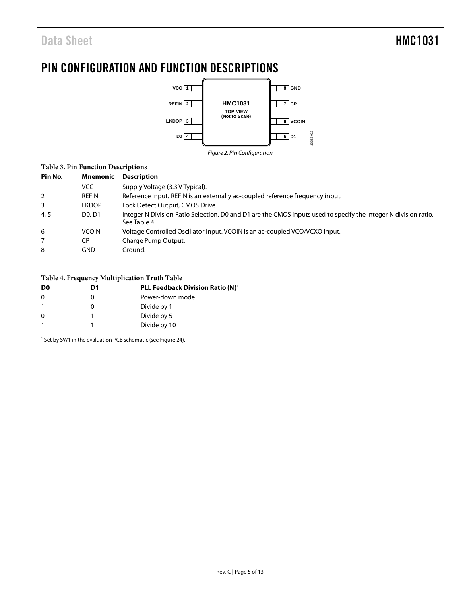## <span id="page-4-0"></span>PIN CONFIGURATION AND FUNCTION DESCRIPTIONS



*Figure 2. Pin Configuration*

### **Table 3. Pin Function Descriptions**

| Pin No. | <b>Mnemonic</b>                 | <b>Description</b>                                                                                                              |
|---------|---------------------------------|---------------------------------------------------------------------------------------------------------------------------------|
|         | <b>VCC</b>                      | Supply Voltage (3.3 V Typical).                                                                                                 |
|         | REFIN                           | Reference Input. REFIN is an externally ac-coupled reference frequency input.                                                   |
|         | <b>LKDOP</b>                    | Lock Detect Output, CMOS Drive.                                                                                                 |
| 4, 5    | D <sub>0</sub> , D <sub>1</sub> | Integer N Division Ratio Selection. D0 and D1 are the CMOS inputs used to specify the integer N division ratio.<br>See Table 4. |
| 6       | <b>VCOIN</b>                    | Voltage Controlled Oscillator Input. VCOIN is an ac-coupled VCO/VCXO input.                                                     |
|         | <b>CP</b>                       | Charge Pump Output.                                                                                                             |
| 8       | <b>GND</b>                      | Ground.                                                                                                                         |

#### <span id="page-4-1"></span>**Table 4. Frequency Multiplication Truth Table**

| D <sub>0</sub> | D <sub>1</sub> | PLL Feedback Division Ratio (N) <sup>1</sup> |
|----------------|----------------|----------------------------------------------|
|                | u              | Power-down mode                              |
|                | 0              | Divide by 1                                  |
|                |                | Divide by 5                                  |
|                |                | Divide by 10                                 |

<sup>1</sup> Set by SW1 in the evaluation PCB schematic (se[e Figure 24\)](#page-11-0).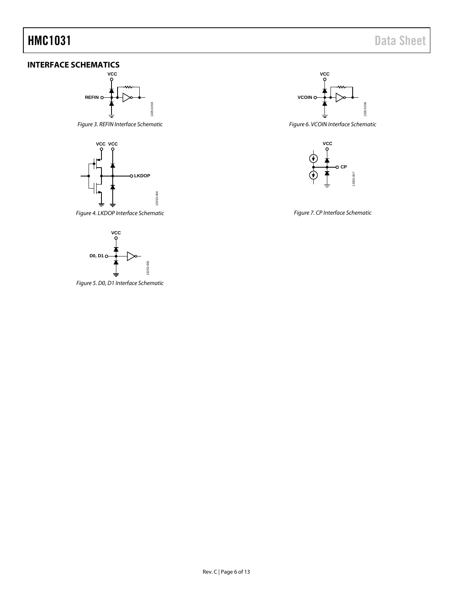## <span id="page-5-0"></span>**INTERFACE SCHEMATICS**







*Figure 4. LKDOP Interface Schematic*



*Figure 5. D0, D1 Interface Schematic*



*Figure 6. VCOIN Interface Schematic*



*Figure 7. CP Interface Schematic*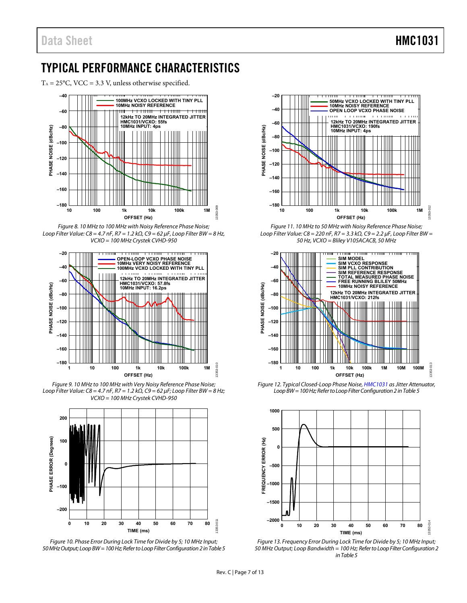## <span id="page-6-0"></span>TYPICAL PERFORMANCE CHARACTERISTICS

 $T_A = 25^{\circ}$ C, VCC = 3.3 V, unless otherwise specified.







Figure 9. 10 MHz to 100 MHz with Very Noisy Reference Phase Noise; Loop Filter Value:  $C8 = 4.7$  nF, R7 = 1.2 k $\Omega$ ,  $C9 = 62$  µF; Loop Filter BW = 8 Hz; VCXO = 100 MHz Crystek CVHD-950







Figure 11. 10 MHz to 50 MHz with Noisy Reference Phase Noise; Loop Filter Value: C8 = 220 nF, R7 = 3.3 k $\Omega$ , C9 = 2.2  $\mu$ F, Loop Filter BW = 50 Hz, VCXO = Bliley V105ACACB, 50 MHz



Figure 12. Typical Closed-Loop Phase Noise[, HMC1031 a](http://www.analog.com/hmc1031?doc=hmc1031.pdf)s Jitter Attenuator, Loop BW = 100 Hz; Refer to Loop Filter Configuration 2 i[n Table 5](#page-11-1) 



Figure 13. Frequency Error During Lock Time for Divide by 5; 10 MHz Input; 50 MHz Output; Loop Bandwidth = 100 Hz; Refer to Loop Filter Configuration 2 i[n Table 5](#page-11-1)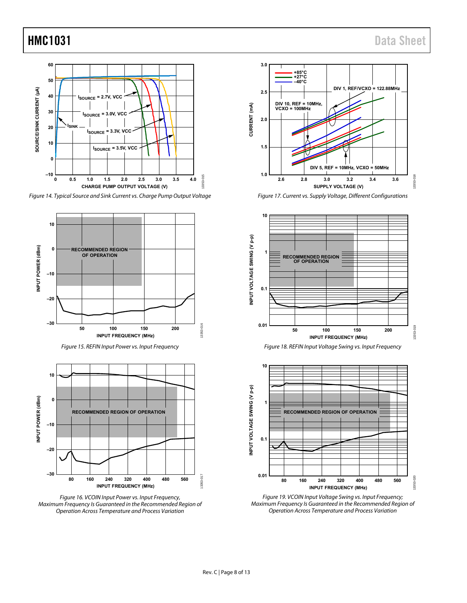

<span id="page-7-0"></span>Figure 14. Typical Source and Sink Current vs. Charge Pump Output Voltage









<span id="page-7-1"></span>Figure 17. Current vs. Supply Voltage, Different Configurations





Figure 19. VCOIN Input Voltage Swing vs. Input Frequency; Maximum Frequency Is Guaranteed in the Recommended Region of Operation Across Temperature and Process Variation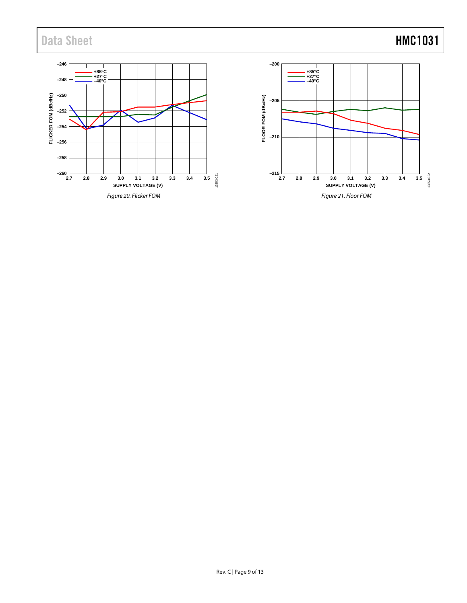## Data Sheet **HMC1031**

<span id="page-8-0"></span>

<span id="page-8-1"></span>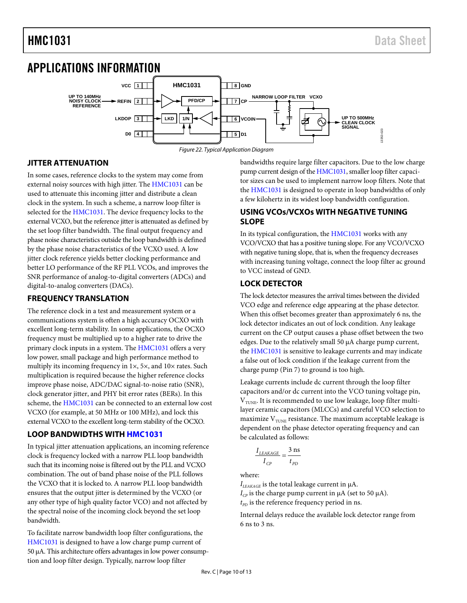## <span id="page-9-0"></span>APPLICATIONS INFORMATION



## <span id="page-9-1"></span>**JITTER ATTENUATION**

In some cases, reference clocks to the system may come from external noisy sources with high jitter. The [HMC1031](http://www.analog.com/hmc1031?doc=hmc1031.pdf) can be used to attenuate this incoming jitter and distribute a clean clock in the system. In such a scheme, a narrow loop filter is selected for th[e HMC1031.](http://www.analog.com/hmc1031?doc=hmc1031.pdf) The device frequency locks to the external VCXO, but the reference jitter is attenuated as defined by the set loop filter bandwidth. The final output frequency and phase noise characteristics outside the loop bandwidth is defined by the phase noise characteristics of the VCXO used. A low jitter clock reference yields better clocking performance and better LO performance of the RF PLL VCOs, and improves the SNR performance of analog-to-digital converters (ADCs) and digital-to-analog converters (DACs).

## <span id="page-9-2"></span>**FREQUENCY TRANSLATION**

The reference clock in a test and measurement system or a communications system is often a high accuracy OCXO with excellent long-term stability. In some applications, the OCXO frequency must be multiplied up to a higher rate to drive the primary clock inputs in a system. Th[e HMC1031](http://www.analog.com/hmc1031?doc=hmc1031.pdf) offers a very low power, small package and high performance method to multiply its incoming frequency in  $1\times$ , 5 $\times$ , and  $10\times$  rates. Such multiplication is required because the higher reference clocks improve phase noise, ADC/DAC signal-to-noise ratio (SNR), clock generator jitter, and PHY bit error rates (BERs). In this scheme, the [HMC1031](http://www.analog.com/hmc1031?doc=hmc1031.pdf) can be connected to an external low cost VCXO (for example, at 50 MHz or 100 MHz), and lock this external VCXO to the excellent long-term stability of the OCXO.

### <span id="page-9-3"></span>**LOOP BANDWIDTHS WITH [HMC1031](http://www.analog.com/hmc1031?doc=hmc1031.pdf)**

In typical jitter attenuation applications, an incoming reference clock is frequency locked with a narrow PLL loop bandwidth such that its incoming noise is filtered out by the PLL and VCXO combination. The out of band phase noise of the PLL follows the VCXO that it is locked to. A narrow PLL loop bandwidth ensures that the output jitter is determined by the VCXO (or any other type of high quality factor VCO) and not affected by the spectral noise of the incoming clock beyond the set loop bandwidth.

To facilitate narrow bandwidth loop filter configurations, the [HMC1031](http://www.analog.com/hmc1031?doc=hmc1031.pdf) is designed to have a low charge pump current of 50 µA. This architecture offers advantages in low power consumption and loop filter design. Typically, narrow loop filter

bandwidths require large filter capacitors. Due to the low charge pump current design of th[e HMC1031,](http://www.analog.com/hmc1031?doc=hmc1031.pdf) smaller loop filter capacitor sizes can be used to implement narrow loop filters. Note that the [HMC1031](http://www.analog.com/hmc1031?doc=hmc1031.pdf) is designed to operate in loop bandwidths of only a few kilohertz in its widest loop bandwidth configuration.

## <span id="page-9-4"></span>**USING VCOs/VCXOs WITH NEGATIVE TUNING SLOPE**

In its typical configuration, the [HMC1031](http://www.analog.com/hmc1031?doc=hmc1031.pdf) works with any VCO/VCXO that has a positive tuning slope. For any VCO/VCXO with negative tuning slope, that is, when the frequency decreases with increasing tuning voltage, connect the loop filter ac ground to VCC instead of GND.

### <span id="page-9-5"></span>**LOCK DETECTOR**

The lock detector measures the arrival times between the divided VCO edge and reference edge appearing at the phase detector. When this offset becomes greater than approximately 6 ns, the lock detector indicates an out of lock condition. Any leakage current on the CP output causes a phase offset between the two edges. Due to the relatively small 50 µA charge pump current, the [HMC1031](http://www.analog.com/hmc1031?doc=hmc1031.pdf) is sensitive to leakage currents and may indicate a false out of lock condition if the leakage current from the charge pump (Pin 7) to ground is too high.

Leakage currents include dc current through the loop filter capacitors and/or dc current into the VCO tuning voltage pin,  $V<sub>TUNE</sub>$ . It is recommended to use low leakage, loop filter multilayer ceramic capacitors (MLCCs) and careful VCO selection to maximize  $V_{\text{TUNE}}$  resistance. The maximum acceptable leakage is dependent on the phase detector operating frequency and can be calculated as follows:

$$
\frac{I_{LEAKAGE}}{I_{CP}} = \frac{3 \text{ ns}}{t_{PD}}
$$

where:

 $I_{LEAKAGE}$  is the total leakage current in  $\mu$ A.

 $I_{CP}$  is the charge pump current in  $\mu$ A (set to 50  $\mu$ A).  $t_{pD}$  is the reference frequency period in ns.

Internal delays reduce the available lock detector range from 6 ns to 3 ns.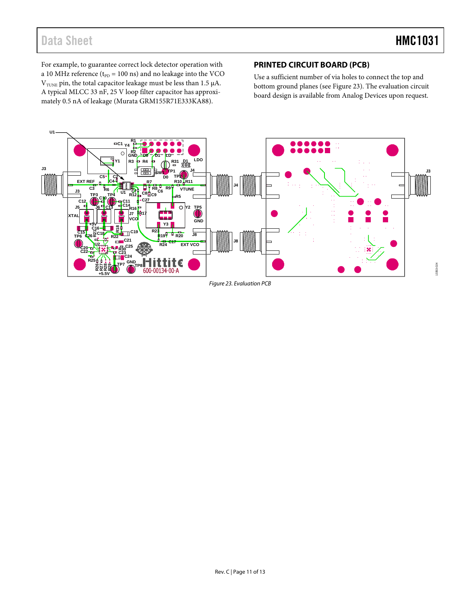## Data Sheet **HMC1031**

For example, to guarantee correct lock detector operation with a 10 MHz reference ( $t_{\text{PD}}$  = 100 ns) and no leakage into the VCO  $\rm V_{\rm TUNE}$  pin, the total capacitor leakage must be less than 1.5  $\rm \mu A.$ A typical MLCC 33 nF, 25 V loop filter capacitor has approximately 0.5 nA of leakage (Murata GRM155R71E333KA88).

## <span id="page-10-0"></span>**PRINTED CIRCUIT BOARD (PCB)**

Use a sufficient number of via holes to connect the top and bottom ground planes (se[e Figure 23\)](#page-10-1). The evaluation circuit board design is available from Analog Devices upon request.

<span id="page-10-1"></span>

*Figure 23. Evaluation PCB*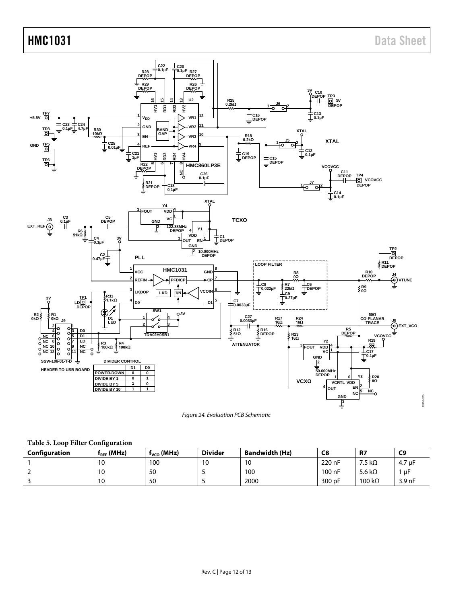## HMC1031 Data Sheet



*Figure 24. Evaluation PCB Schematic*

#### <span id="page-11-1"></span><span id="page-11-0"></span>**Table 5. Loop Filter Configuration**

| Configuration | $f_{REF}$ (MHz) | $f_{VCO}$ (MHz) | <b>Divider</b> | <b>Bandwidth (Hz)</b> | C8     | <b>R7</b>      | C <sub>9</sub>     |
|---------------|-----------------|-----------------|----------------|-----------------------|--------|----------------|--------------------|
|               | 10              | 100             | 10             | 10                    | 220 nF | 7.5 k $\Omega$ | 4.7 µF             |
|               | 10              | 50              |                | 100                   | 100 nF | 5.6 k $\Omega$ | uF                 |
|               | 10              | 50              |                | 2000                  | 300 pF | 100 $k\Omega$  | 3.9 <sub>h</sub> F |